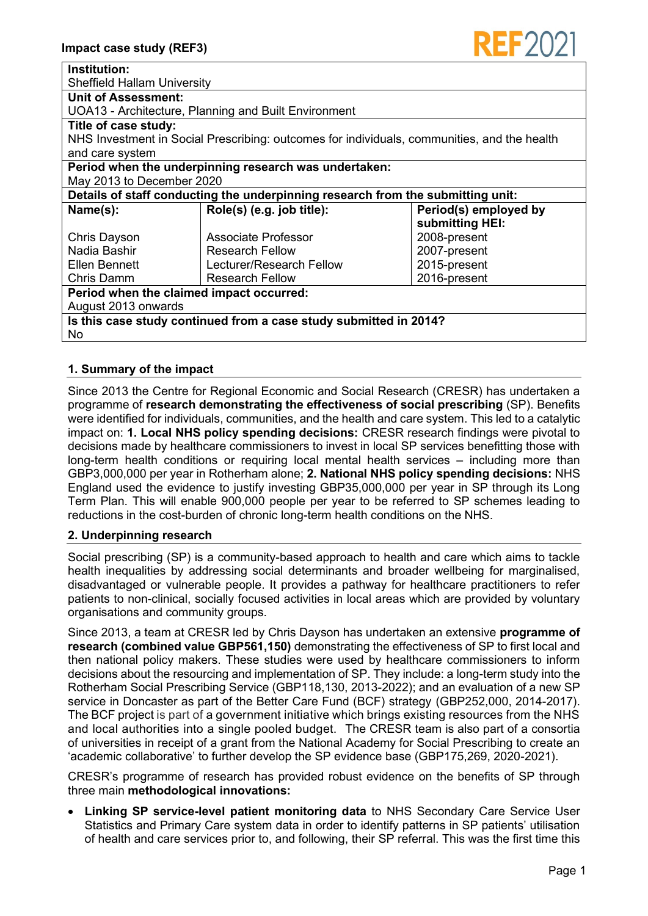| <b>Institution:</b>                                                                         |                           |                       |
|---------------------------------------------------------------------------------------------|---------------------------|-----------------------|
| <b>Sheffield Hallam University</b>                                                          |                           |                       |
| <b>Unit of Assessment:</b>                                                                  |                           |                       |
| UOA13 - Architecture, Planning and Built Environment                                        |                           |                       |
| Title of case study:                                                                        |                           |                       |
| NHS Investment in Social Prescribing: outcomes for individuals, communities, and the health |                           |                       |
| and care system                                                                             |                           |                       |
| Period when the underpinning research was undertaken:                                       |                           |                       |
| May 2013 to December 2020                                                                   |                           |                       |
| Details of staff conducting the underpinning research from the submitting unit:             |                           |                       |
| Name(s):                                                                                    | Role(s) (e.g. job title): | Period(s) employed by |
|                                                                                             |                           | submitting HEI:       |
| Chris Dayson                                                                                | Associate Professor       | 2008-present          |
| Nadia Bashir                                                                                | <b>Research Fellow</b>    | 2007-present          |
| Ellen Bennett                                                                               | Lecturer/Research Fellow  | 2015-present          |
| Chris Damm                                                                                  | <b>Research Fellow</b>    | 2016-present          |
| Period when the claimed impact occurred:                                                    |                           |                       |
| August 2013 onwards                                                                         |                           |                       |
| Is this case study continued from a case study submitted in 2014?                           |                           |                       |
| No.                                                                                         |                           |                       |

# **1. Summary of the impact**

Since 2013 the Centre for Regional Economic and Social Research (CRESR) has undertaken a programme of **research demonstrating the effectiveness of social prescribing** (SP). Benefits were identified for individuals, communities, and the health and care system. This led to a catalytic impact on: **1. Local NHS policy spending decisions:** CRESR research findings were pivotal to decisions made by healthcare commissioners to invest in local SP services benefitting those with long-term health conditions or requiring local mental health services – including more than GBP3,000,000 per year in Rotherham alone; **2. National NHS policy spending decisions:** NHS England used the evidence to justify investing GBP35,000,000 per year in SP through its Long Term Plan. This will enable 900,000 people per year to be referred to SP schemes leading to reductions in the cost-burden of chronic long-term health conditions on the NHS.

# **2. Underpinning research**

Social prescribing (SP) is a community-based approach to health and care which aims to tackle health inequalities by addressing social determinants and broader wellbeing for marginalised, disadvantaged or vulnerable people. It provides a pathway for healthcare practitioners to refer patients to non-clinical, socially focused activities in local areas which are provided by voluntary organisations and community groups.

Since 2013, a team at CRESR led by Chris Dayson has undertaken an extensive **programme of research (combined value GBP561,150)** demonstrating the effectiveness of SP to first local and then national policy makers. These studies were used by healthcare commissioners to inform decisions about the resourcing and implementation of SP. They include: a long-term study into the Rotherham Social Prescribing Service (GBP118,130, 2013-2022); and an evaluation of a new SP service in Doncaster as part of the Better Care Fund (BCF) strategy (GBP252,000, 2014-2017). The BCF project is part of a government initiative which brings existing resources from the NHS and local authorities into a single pooled budget. The CRESR team is also part of a consortia of universities in receipt of a grant from the National Academy for Social Prescribing to create an 'academic collaborative' to further develop the SP evidence base (GBP175,269, 2020-2021).

CRESR's programme of research has provided robust evidence on the benefits of SP through three main **methodological innovations:**

• **Linking SP service-level patient monitoring data** to NHS Secondary Care Service User Statistics and Primary Care system data in order to identify patterns in SP patients' utilisation of health and care services prior to, and following, their SP referral. This was the first time this

REE 20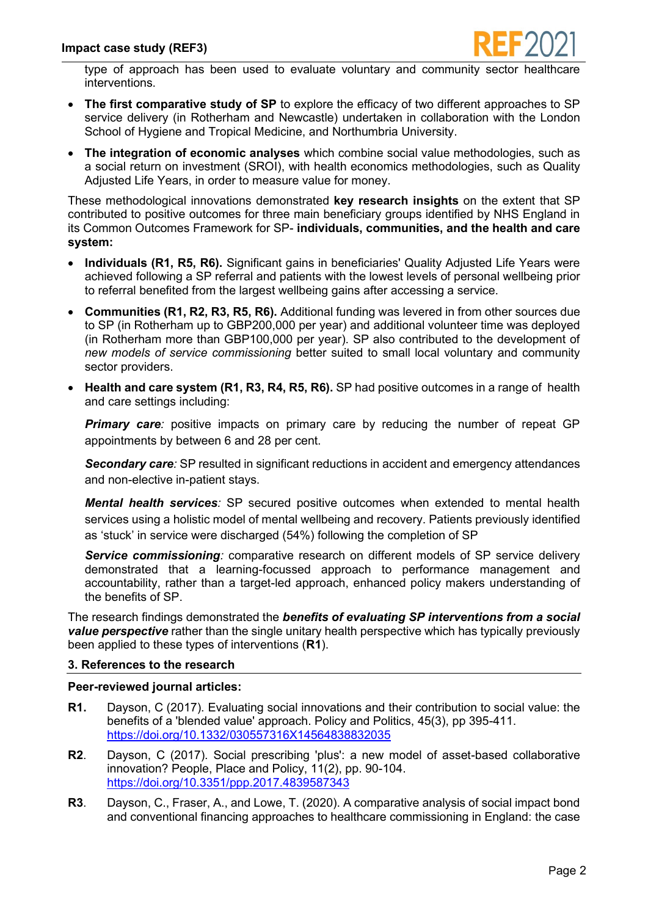

type of approach has been used to evaluate voluntary and community sector healthcare interventions.

- **The first comparative study of SP** to explore the efficacy of two different approaches to SP service delivery (in Rotherham and Newcastle) undertaken in collaboration with the London School of Hygiene and Tropical Medicine, and Northumbria University.
- **The integration of economic analyses** which combine social value methodologies, such as a social return on investment (SROI), with health economics methodologies, such as Quality Adjusted Life Years, in order to measure value for money.

These methodological innovations demonstrated **key research insights** on the extent that SP contributed to positive outcomes for three main beneficiary groups identified by NHS England in its Common Outcomes Framework for SP- **individuals, communities, and the health and care system:**

- **Individuals (R1, R5, R6).** Significant gains in beneficiaries' Quality Adjusted Life Years were achieved following a SP referral and patients with the lowest levels of personal wellbeing prior to referral benefited from the largest wellbeing gains after accessing a service.
- **Communities (R1, R2, R3, R5, R6).** Additional funding was levered in from other sources due to SP (in Rotherham up to GBP200,000 per year) and additional volunteer time was deployed (in Rotherham more than GBP100,000 per year). SP also contributed to the development of *new models of service commissioning* better suited to small local voluntary and community sector providers.
- **Health and care system (R1, R3, R4, R5, R6).** SP had positive outcomes in a range of health and care settings including:

**Primary care**: positive impacts on primary care by reducing the number of repeat GP appointments by between 6 and 28 per cent.

*Secondary care:* SP resulted in significant reductions in accident and emergency attendances and non-elective in-patient stays.

*Mental health services:* SP secured positive outcomes when extended to mental health services using a holistic model of mental wellbeing and recovery. Patients previously identified as 'stuck' in service were discharged (54%) following the completion of SP

*Service commissioning:* comparative research on different models of SP service delivery demonstrated that a learning-focussed approach to performance management and accountability, rather than a target-led approach, enhanced policy makers understanding of the benefits of SP.

The research findings demonstrated the *benefits of evaluating SP interventions from a social value perspective* rather than the single unitary health perspective which has typically previously been applied to these types of interventions (**R1**).

#### **3. References to the research**

#### **Peer-reviewed journal articles:**

- **R1.** Dayson, C (2017). Evaluating social innovations and their contribution to social value: the benefits of a 'blended value' approach. Policy and Politics, 45(3), pp 395-411. <https://doi.org/10.1332/030557316X14564838832035>
- **R2**. Dayson, C (2017). Social prescribing 'plus': a new model of asset-based collaborative innovation? People, Place and Policy, 11(2), pp. 90-104. <https://doi.org/10.3351/ppp.2017.4839587343>
- **R3**. Dayson, C., Fraser, A., and Lowe, T. (2020). A comparative analysis of social impact bond and conventional financing approaches to healthcare commissioning in England: the case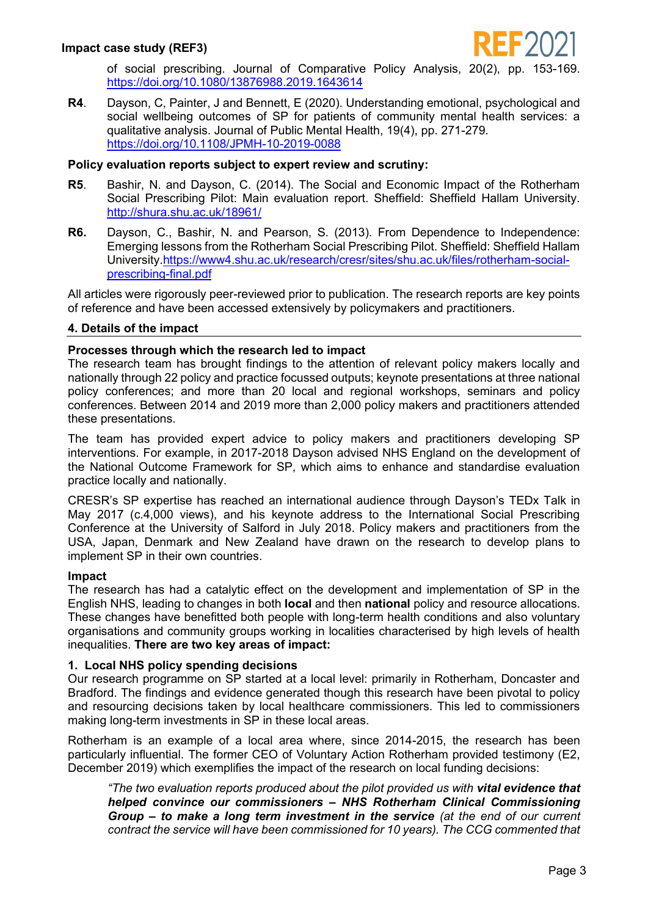

of social prescribing. Journal of Comparative Policy Analysis, 20(2), pp. 153-169. <https://doi.org/10.1080/13876988.2019.1643614>

**R4**. Dayson, C, Painter, J and Bennett, E (2020). Understanding emotional, psychological and social wellbeing outcomes of SP for patients of community mental health services: a qualitative analysis. Journal of Public Mental Health, 19(4), pp. 271-279. <https://doi.org/10.1108/JPMH-10-2019-0088>

## **Policy evaluation reports subject to expert review and scrutiny:**

- **R5**. Bashir, N. and Dayson, C. (2014). The Social and Economic Impact of the Rotherham Social Prescribing Pilot: Main evaluation report. Sheffield: Sheffield Hallam University. <http://shura.shu.ac.uk/18961/>
- **R6.** Dayson, C., Bashir, N. and Pearson, S. (2013). From Dependence to Independence: Emerging lessons from the Rotherham Social Prescribing Pilot. Sheffield: Sheffield Hallam University[.https://www4.shu.ac.uk/research/cresr/sites/shu.ac.uk/files/rotherham-social](https://www4.shu.ac.uk/research/cresr/sites/shu.ac.uk/files/rotherham-social-prescribing-final.pdf)[prescribing-final.pdf](https://www4.shu.ac.uk/research/cresr/sites/shu.ac.uk/files/rotherham-social-prescribing-final.pdf)

All articles were rigorously peer-reviewed prior to publication. The research reports are key points of reference and have been accessed extensively by policymakers and practitioners.

## **4. Details of the impact**

## **Processes through which the research led to impact**

The research team has brought findings to the attention of relevant policy makers locally and nationally through 22 policy and practice focussed outputs; keynote presentations at three national policy conferences; and more than 20 local and regional workshops, seminars and policy conferences. Between 2014 and 2019 more than 2,000 policy makers and practitioners attended these presentations.

The team has provided expert advice to policy makers and practitioners developing SP interventions. For example, in 2017-2018 Dayson advised NHS England on the development of the National Outcome Framework for SP, which aims to enhance and standardise evaluation practice locally and nationally.

CRESR's SP expertise has reached an international audience through Dayson's TEDx Talk in May 2017 (c.4,000 views), and his keynote address to the International Social Prescribing Conference at the University of Salford in July 2018. Policy makers and practitioners from the USA, Japan, Denmark and New Zealand have drawn on the research to develop plans to implement SP in their own countries.

#### **Impact**

The research has had a catalytic effect on the development and implementation of SP in the English NHS, leading to changes in both **local** and then **national** policy and resource allocations. These changes have benefitted both people with long-term health conditions and also voluntary organisations and community groups working in localities characterised by high levels of health inequalities. **There are two key areas of impact:**

#### **1. Local NHS policy spending decisions**

Our research programme on SP started at a local level: primarily in Rotherham, Doncaster and Bradford. The findings and evidence generated though this research have been pivotal to policy and resourcing decisions taken by local healthcare commissioners. This led to commissioners making long-term investments in SP in these local areas.

Rotherham is an example of a local area where, since 2014-2015, the research has been particularly influential. The former CEO of Voluntary Action Rotherham provided testimony (E2, December 2019) which exemplifies the impact of the research on local funding decisions:

*"The two evaluation reports produced about the pilot provided us with vital evidence that helped convince our commissioners – NHS Rotherham Clinical Commissioning Group – to make a long term investment in the service (at the end of our current contract the service will have been commissioned for 10 years). The CCG commented that*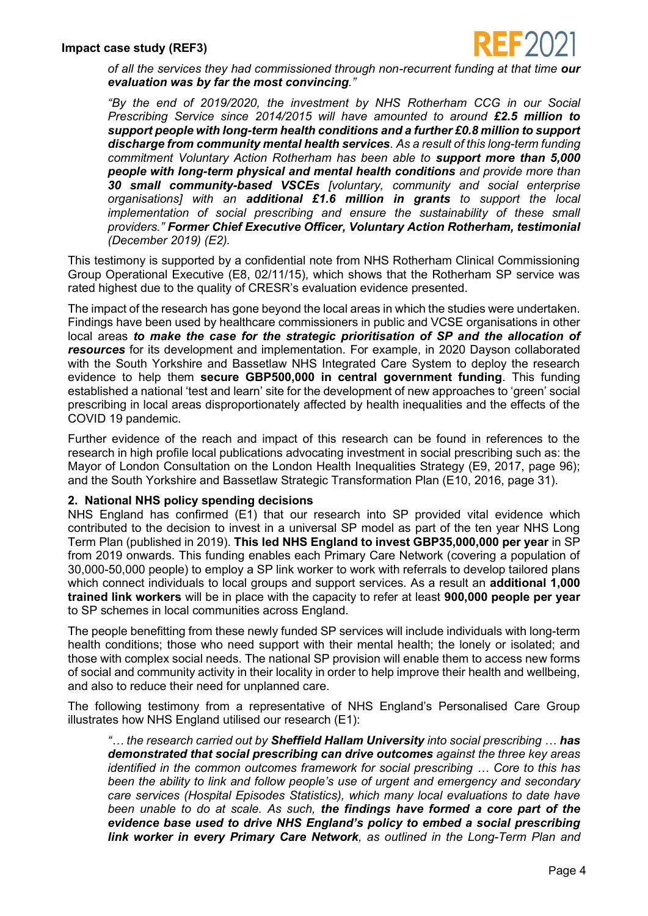

*of all the services they had commissioned through non-recurrent funding at that time our evaluation was by far the most convincing."*

*"By the end of 2019/2020, the investment by NHS Rotherham CCG in our Social Prescribing Service since 2014/2015 will have amounted to around £2.5 million to support people with long-term health conditions and a further £0.8 million to support discharge from community mental health services. As a result of this long-term funding commitment Voluntary Action Rotherham has been able to support more than 5,000 people with long-term physical and mental health conditions and provide more than 30 small community-based VSCEs [voluntary, community and social enterprise organisations] with an additional £1.6 million in grants to support the local implementation of social prescribing and ensure the sustainability of these small providers." Former Chief Executive Officer, Voluntary Action Rotherham, testimonial (December 2019) (E2).*

This testimony is supported by a confidential note from NHS Rotherham Clinical Commissioning Group Operational Executive (E8, 02/11/15), which shows that the Rotherham SP service was rated highest due to the quality of CRESR's evaluation evidence presented.

The impact of the research has gone beyond the local areas in which the studies were undertaken. Findings have been used by healthcare commissioners in public and VCSE organisations in other local areas *to make the case for the strategic prioritisation of SP and the allocation of resources* for its development and implementation. For example, in 2020 Dayson collaborated with the South Yorkshire and Bassetlaw NHS Integrated Care System to deploy the research evidence to help them **secure GBP500,000 in central government funding**. This funding established a national 'test and learn' site for the development of new approaches to 'green' social prescribing in local areas disproportionately affected by health inequalities and the effects of the COVID 19 pandemic.

Further evidence of the reach and impact of this research can be found in references to the research in high profile local publications advocating investment in social prescribing such as: the Mayor of London Consultation on the London Health Inequalities Strategy (E9, 2017, page 96); and the South Yorkshire and Bassetlaw Strategic Transformation Plan (E10, 2016, page 31).

#### **2. National NHS policy spending decisions**

NHS England has confirmed (E1) that our research into SP provided vital evidence which contributed to the decision to invest in a universal SP model as part of the ten year NHS Long Term Plan (published in 2019). **This led NHS England to invest GBP35,000,000 per year** in SP from 2019 onwards. This funding enables each Primary Care Network (covering a population of 30,000-50,000 people) to employ a SP link worker to work with referrals to develop tailored plans which connect individuals to local groups and support services. As a result an **additional 1,000 trained link workers** will be in place with the capacity to refer at least **900,000 people per year** to SP schemes in local communities across England.

The people benefitting from these newly funded SP services will include individuals with long-term health conditions; those who need support with their mental health; the lonely or isolated; and those with complex social needs. The national SP provision will enable them to access new forms of social and community activity in their locality in order to help improve their health and wellbeing, and also to reduce their need for unplanned care.

The following testimony from a representative of NHS England's Personalised Care Group illustrates how NHS England utilised our research (E1):

*"… the research carried out by Sheffield Hallam University into social prescribing … has demonstrated that social prescribing can drive outcomes against the three key areas identified in the common outcomes framework for social prescribing … Core to this has been the ability to link and follow people's use of urgent and emergency and secondary care services (Hospital Episodes Statistics), which many local evaluations to date have been unable to do at scale. As such, the findings have formed a core part of the evidence base used to drive NHS England's policy to embed a social prescribing link worker in every Primary Care Network, as outlined in the Long-Term Plan and*